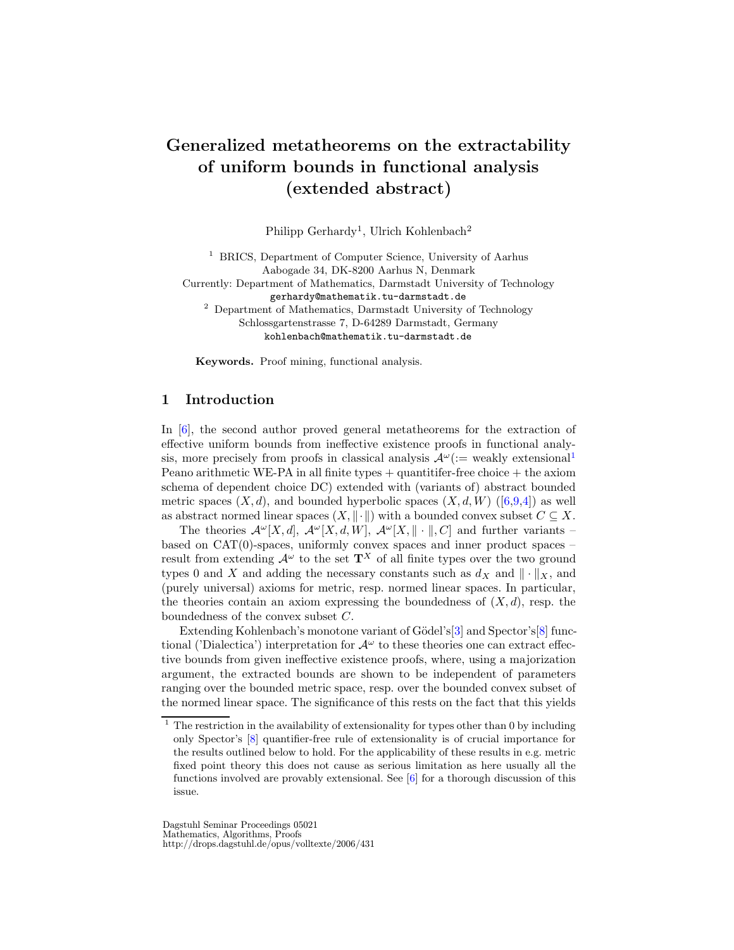# Generalized metatheorems on the extractability of uniform bounds in functional analysis (extended abstract)

Philipp Gerhardy<sup>1</sup>, Ulrich Kohlenbach<sup>2</sup>

<sup>1</sup> BRICS, Department of Computer Science, University of Aarhus Aabogade 34, DK-8200 Aarhus N, Denmark

Currently: Department of Mathematics, Darmstadt University of Technology gerhardy@mathematik.tu-darmstadt.de <sup>2</sup> Department of Mathematics, Darmstadt University of Technology

Schlossgartenstrasse 7, D-64289 Darmstadt, Germany kohlenbach@mathematik.tu-darmstadt.de

Keywords. Proof mining, functional analysis.

## 1 Introduction

In [\[6\]](#page-4-0), the second author proved general metatheorems for the extraction of effective uniform bounds from ineffective existence proofs in functional analysis, more precisely from proofs in classical analysis  $\mathcal{A}^{\omega}$  (:= weakly extensional Peano arithmetic WE-PA in all finite types  $+$  quantitifer-free choice  $+$  the axiom schema of dependent choice DC) extended with (variants of) abstract bounded metric spaces  $(X, d)$ , and bounded hyperbolic spaces  $(X, d, W)$  ([\[6,](#page-4-0)[9](#page-4-1)[,4\]](#page-4-2)) as well as abstract normed linear spaces  $(X, \|\cdot\|)$  with a bounded convex subset  $C \subseteq X$ .

The theories  $\mathcal{A}^{\omega}[X, d], \mathcal{A}^{\omega}[X, d, W], \mathcal{A}^{\omega}[X, \|\cdot\|, C]$  and further variants – based on  $CAT(0)$ -spaces, uniformly convex spaces and inner product spaces – result from extending  $\mathcal{A}^{\omega}$  to the set  $\mathbf{T}^{X}$  of all finite types over the two ground types 0 and X and adding the necessary constants such as  $d_X$  and  $\|\cdot\|_X$ , and (purely universal) axioms for metric, resp. normed linear spaces. In particular, the theories contain an axiom expressing the boundedness of  $(X, d)$ , resp. the boundedness of the convex subset C.

Extending Kohlenbach's monotone variant of Gödel's<sup>[\[3\]](#page-4-3)</sup> and Spector's<sup>[\[8\]](#page-4-4)</sup> functional ('Dialectica') interpretation for  $\mathcal{A}^{\omega}$  to these theories one can extract effective bounds from given ineffective existence proofs, where, using a majorization argument, the extracted bounds are shown to be independent of parameters ranging over the bounded metric space, resp. over the bounded convex subset of the normed linear space. The significance of this rests on the fact that this yields

Dagstuhl Seminar Proceedings 05021 Mathematics, Algorithms, Proofs http://drops.dagstuhl.de/opus/volltexte/2006/431

<span id="page-0-0"></span> $1$  The restriction in the availability of extensionality for types other than 0 by including only Spector's [\[8\]](#page-4-4) quantifier-free rule of extensionality is of crucial importance for the results outlined below to hold. For the applicability of these results in e.g. metric fixed point theory this does not cause as serious limitation as here usually all the functions involved are provably extensional. See  $[6]$  for a thorough discussion of this issue.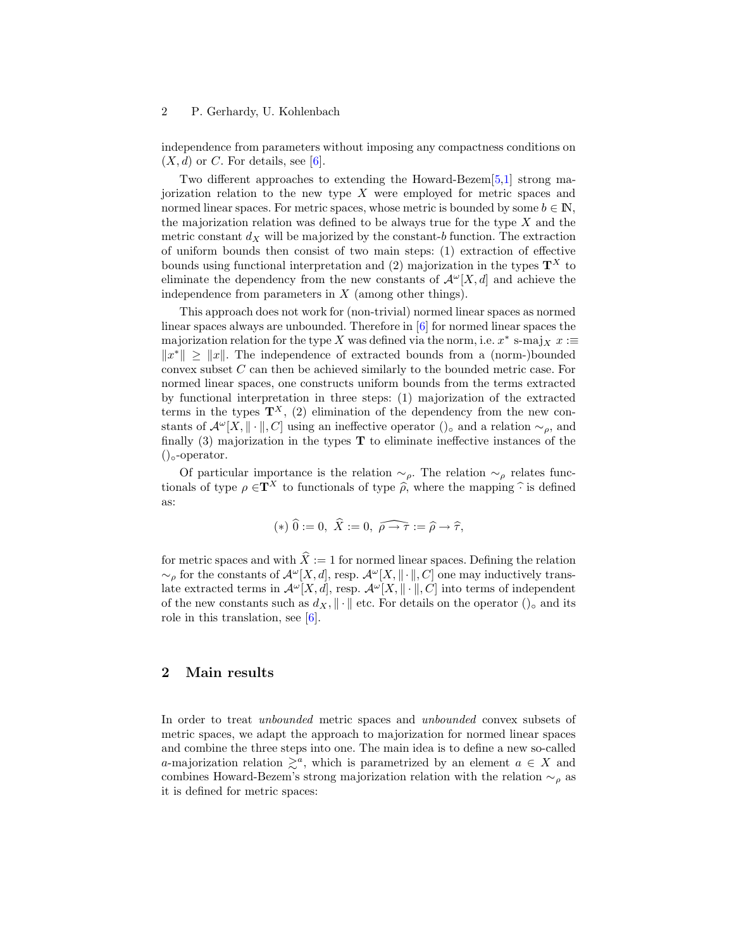#### 2 P. Gerhardy, U. Kohlenbach

independence from parameters without imposing any compactness conditions on  $(X, d)$  or C. For details, see [\[6\]](#page-4-0).

Two different approaches to extending the Howard-Bezem[\[5](#page-4-5)[,1\]](#page-4-6) strong majorization relation to the new type  $X$  were employed for metric spaces and normed linear spaces. For metric spaces, whose metric is bounded by some  $b \in \mathbb{N}$ , the majorization relation was defined to be always true for the type  $X$  and the metric constant  $d_X$  will be majorized by the constant-b function. The extraction of uniform bounds then consist of two main steps: (1) extraction of effective bounds using functional interpretation and (2) majorization in the types  $\mathbf{T}^{X}$  to eliminate the dependency from the new constants of  $\mathcal{A}^{\omega}[X, d]$  and achieve the independence from parameters in  $X$  (among other things).

This approach does not work for (non-trivial) normed linear spaces as normed linear spaces always are unbounded. Therefore in [\[6\]](#page-4-0) for normed linear spaces the majorization relation for the type X was defined via the norm, i.e.  $x^*$  s-maj<sub>X</sub>  $x :=$  $||x^*|| \ge ||x||$ . The independence of extracted bounds from a (norm-)bounded convex subset C can then be achieved similarly to the bounded metric case. For normed linear spaces, one constructs uniform bounds from the terms extracted by functional interpretation in three steps: (1) majorization of the extracted terms in the types  $\mathbf{T}^{X}$ , (2) elimination of the dependency from the new constants of  $\mathcal{A}^{\omega}[X, \|\cdot\|, C]$  using an ineffective operator  $()_{\circ}$  and a relation  $\sim_{\rho}$ , and finally  $(3)$  majorization in the types **T** to eliminate ineffective instances of the  $()_{\circ}$ -operator.

Of particular importance is the relation  $\sim_{\rho}$ . The relation  $\sim_{\rho}$  relates functionals of type  $\rho \in \mathbf{T}^X$  to functionals of type  $\widehat{\rho}$ , where the mapping  $\widehat{\cdot}$  is defined as:

$$
(*)\ \widehat{0}:=0,\ \widehat{X}:=0,\ \widehat{\rho\rightarrow\tau}:=\widehat{\rho}\rightarrow\widehat{\tau},
$$

for metric spaces and with  $\hat{X} := 1$  for normed linear spaces. Defining the relation  $\sim_{\rho}$  for the constants of  $\mathcal{A}^{\omega}[X, d]$ , resp.  $\mathcal{A}^{\omega}[X, \|\cdot\|, C]$  one may inductively translate extracted terms in  $\mathcal{A}^{\omega}[X, d]$ , resp.  $\mathcal{A}^{\omega}[X, \|\cdot\|, C]$  into terms of independent of the new constants such as  $d_X$ ,  $\|\cdot\|$  etc. For details on the operator ()<sub>○</sub> and its role in this translation, see  $[6]$ .

## 2 Main results

In order to treat unbounded metric spaces and unbounded convex subsets of metric spaces, we adapt the approach to majorization for normed linear spaces and combine the three steps into one. The main idea is to define a new so-called a-majorization relation  $\geq^a$ , which is parametrized by an element  $a \in X$  and combines Howard-Bezem's strong majorization relation with the relation  $\sim_{\rho}$  as it is defined for metric spaces: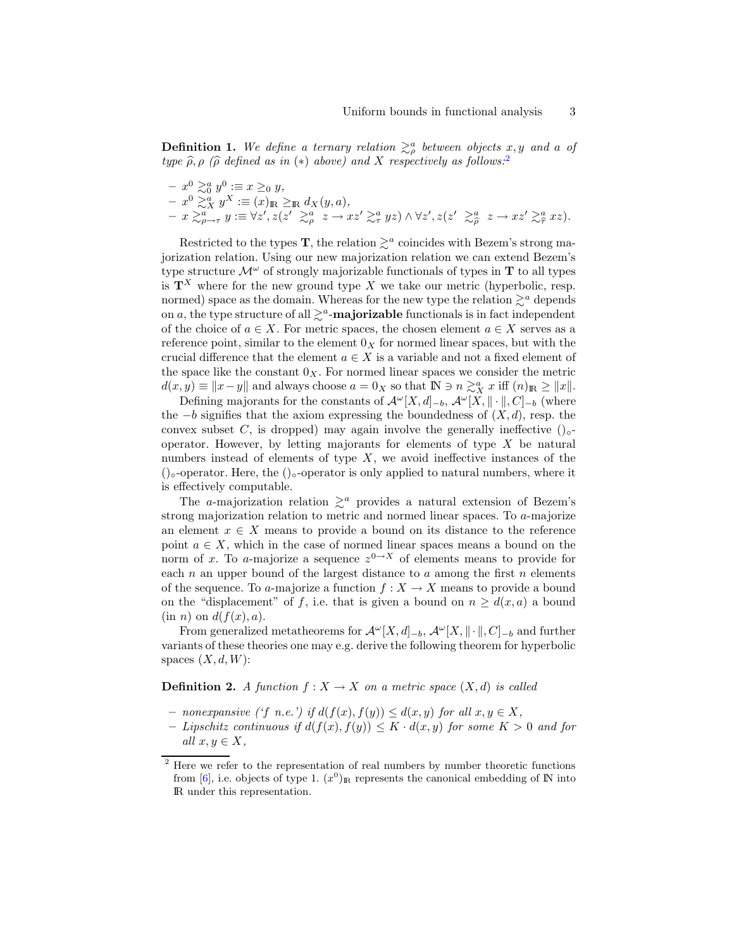**Definition 1.** We define a ternary relation  $\geq^a_{\rho}$  between objects x, y and a of type  $\widehat{\rho}, \rho$  ( $\widehat{\rho}$  defined as in (\*) above) and X respectively as follows:<sup>[2](#page-2-0)</sup>

$$
- x0 \gtrsim a 0 y0 := x \geq 0 y,- x0 \gtrsim a 0 x 0 := (x)_{\mathbb{R}} \geq \mathbb{R} d_X(y, a),- x \gtrsim_{\rho \to \tau}^a y := \forall z', z(z' \gtrsim_{\rho}^a z \to xz' \gtrsim_{\tau}^a yz) \land \forall z', z(z' \gtrsim_{\rho}^a z \to xz' \gtrsim_{\tau}^a xz).
$$

Restricted to the types **T**, the relation  $\gtrsim^a$  coincides with Bezem's strong majorization relation. Using our new majorization relation we can extend Bezem's type structure  $\mathcal{M}^{\omega}$  of strongly majorizable functionals of types in **T** to all types is  $\mathbf{T}^{X}$  where for the new ground type X we take our metric (hyperbolic, resp. normed) space as the domain. Whereas for the new type the relation  $\geq^a$  depends on a, the type structure of all  $\gtrsim^a$ -majorizable functionals is in fact independent of the choice of  $a \in X$ . For metric spaces, the chosen element  $a \in X$  serves as a reference point, similar to the element  $0<sub>X</sub>$  for normed linear spaces, but with the crucial difference that the element  $a \in X$  is a variable and not a fixed element of the space like the constant  $0_X$ . For normed linear spaces we consider the metric  $d(x, y) \equiv ||x - y||$  and always choose  $a = 0_X$  so that  $\mathbb{N} \ni n \gtrsim_X^a x$  iff  $(n)_{\mathbb{R}} \ge ||x||$ .

Defining majorants for the constants of  $\mathcal{A}^{\omega}[X, d]_{-b}$ ,  $\mathcal{A}^{\omega}[X, \|\cdot\|, C]_{-b}$  (where the  $-b$  signifies that the axiom expressing the boundedness of  $(X, d)$ , resp. the convex subset C, is dropped) may again involve the generally ineffective  $() \circ$ operator. However, by letting majorants for elements of type  $X$  be natural numbers instead of elements of type  $X$ , we avoid ineffective instances of the ()◦-operator. Here, the ()◦-operator is only applied to natural numbers, where it is effectively computable.

The a-majorization relation  $\geq^a$  provides a natural extension of Bezem's strong majorization relation to metric and normed linear spaces. To a-majorize an element  $x \in X$  means to provide a bound on its distance to the reference point  $a \in X$ , which in the case of normed linear spaces means a bound on the norm of x. To a-majorize a sequence  $z^{0\rightarrow X}$  of elements means to provide for each  $n$  an upper bound of the largest distance to  $a$  among the first  $n$  elements of the sequence. To a-majorize a function  $f: X \to X$  means to provide a bound on the "displacement" of f, i.e. that is given a bound on  $n \geq d(x, a)$  a bound  $(in n)$  on  $d(f(x), a)$ .

From generalized metatheorems for  $\mathcal{A}^{\omega}[X, d]_{-b}$ ,  $\mathcal{A}^{\omega}[X, \|\cdot\|, C]_{-b}$  and further variants of these theories one may e.g. derive the following theorem for hyperbolic spaces  $(X, d, W)$ :

**Definition 2.** A function  $f: X \to X$  on a metric space  $(X, d)$  is called

- nonexpansive ('f n.e.') if  $d(f(x), f(y)) ≤ d(x, y)$  for all  $x, y ∈ X$ ,
- Lipschitz continuous if  $d(f(x), f(y)) \leq K \cdot d(x, y)$  for some  $K > 0$  and for all  $x, y \in X$ ,

<span id="page-2-0"></span> $^{\rm 2}$  Here we refer to the representation of real numbers by number theoretic functions from [\[6\]](#page-4-0), i.e. objects of type 1.  $(x^0)_{\mathbb{R}}$  represents the canonical embedding of N into IR under this representation.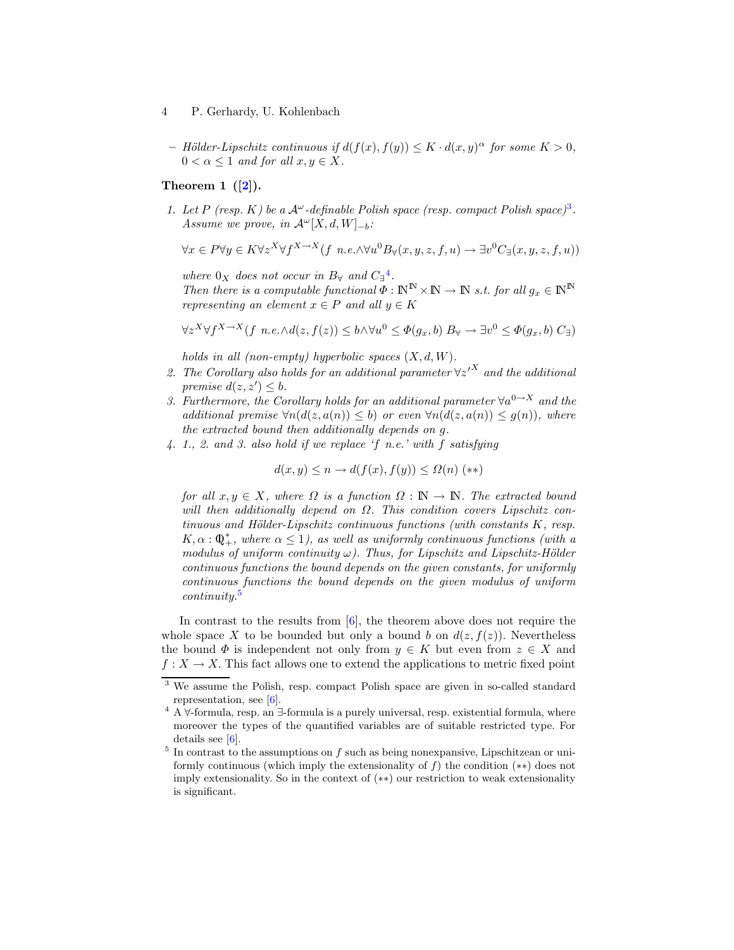- 4 P. Gerhardy, U. Kohlenbach
	- Hölder-Lipschitz continuous if  $d(f(x), f(y)) \leq K \cdot d(x, y)^\alpha$  for some  $K > 0$ ,  $0 < \alpha \leq 1$  and for all  $x, y \in X$ .

#### Theorem 1  $([2])$  $([2])$  $([2])$ .

1. Let P (resp. K) be a  $A^{\omega}$ -definable Polish space (resp. compact Polish space)<sup>[3](#page-3-0)</sup>. Assume we prove, in  $\mathcal{A}^{\omega}[X, d, W]_{-b}$ :

$$
\forall x \in P \forall y \in K \forall z^X \forall f^{X \to X} (f \ n.e. \land \forall u^0 B_{\forall}(x, y, z, f, u) \to \exists v^0 C_{\exists}(x, y, z, f, u))
$$

where  $0_X$  does not occur in  $B_\forall$  and  $C_{\exists}^4$  $C_{\exists}^4$ . Then there is a computable functional  $\Phi : \mathbb{N}^{\mathbb{N}} \times \mathbb{N} \to \mathbb{N}$  s.t. for all  $g_x \in \mathbb{N}^{\mathbb{N}}$ representing an element  $x \in P$  and all  $y \in K$ 

$$
\forall z^X \forall f^{X \to X} (f \ n.e. \land d(z, f(z)) \leq b \land \forall u^0 \leq \Phi(g_x, b) B_{\forall} \to \exists v^0 \leq \Phi(g_x, b) C_{\exists})
$$

holds in all (non-empty) hyperbolic spaces  $(X, d, W)$ .

- 2. The Corollary also holds for an additional parameter  $\forall z'^{X}$  and the additional premise  $d(z, z') \leq b$ .
- 3. Furthermore, the Corollary holds for an additional parameter  $\forall a^{0\rightarrow X}$  and the additional premise  $\forall n(d(z, a(n)) \leq b)$  or even  $\forall n(d(z, a(n)) \leq g(n))$ , where the extracted bound then additionally depends on g.
- 4. 1., 2. and 3. also hold if we replace 'f n.e.' with f satisfying

$$
d(x, y) \le n \rightarrow d(f(x), f(y)) \le \Omega(n) \quad (*)
$$

for all  $x, y \in X$ , where  $\Omega$  is a function  $\Omega : \mathbb{N} \to \mathbb{N}$ . The extracted bound will then additionally depend on  $\Omega$ . This condition covers Lipschitz con $tinuous and Hölder-Lipschitz continuous functions (with constants  $K$ , resp.$  $K, \alpha : \mathbb{Q}_+^*$ , where  $\alpha \leq 1$ ), as well as uniformly continuous functions (with a modulus of uniform continuity  $\omega$ ). Thus, for Lipschitz and Lipschitz-Hölder continuous functions the bound depends on the given constants, for uniformly continuous functions the bound depends on the given modulus of uniform continuity.[5](#page-3-2)

In contrast to the results from  $[6]$ , the theorem above does not require the whole space X to be bounded but only a bound b on  $d(z, f(z))$ . Nevertheless the bound  $\Phi$  is independent not only from  $y \in K$  but even from  $z \in X$  and  $f: X \to X$ . This fact allows one to extend the applications to metric fixed point

<span id="page-3-0"></span><sup>3</sup> We assume the Polish, resp. compact Polish space are given in so-called standard representation, see [\[6\]](#page-4-0).

<span id="page-3-1"></span><sup>&</sup>lt;sup>4</sup> A  $\forall$ -formula, resp. an ∃-formula is a purely universal, resp. existential formula, where moreover the types of the quantified variables are of suitable restricted type. For details see [\[6\]](#page-4-0).

<span id="page-3-2"></span> $5$  In contrast to the assumptions on  $f$  such as being nonexpansive, Lipschitzean or uniformly continuous (which imply the extensionality of  $f$ ) the condition  $(**)$  does not imply extensionality. So in the context of (∗∗) our restriction to weak extensionality is significant.